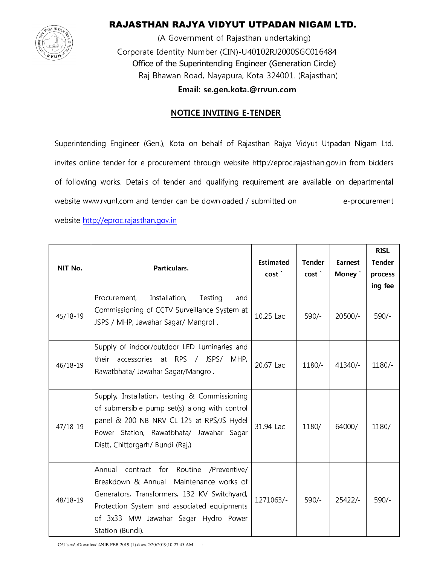

## RAJASTHAN RAJYA VIDYUT UTPADAN NIGAM LTD.

(A Government of Rajasthan undertaking) Corporate Identity Number (CIN)-U40102RJ2000SGC016484 Office of the Superintending Engineer (Generation Circle) Raj Bhawan Road, Nayapura, Kota-324001. (Rajasthan)

Email: se.gen.kota.@rrvun.com

### **NOTICE INVITING E-TENDER**

Superintending Engineer (Gen.), Kota on behalf of Rajasthan Rajya Vidyut Utpadan Nigam Ltd. invites online tender for e-procurement through website http://eproc.rajasthan.gov.in from bidders of following works. Details of tender and qualifying requirement are available on departmental website www.rvunl.com and tender can be downloaded / submitted on e-procurement

website http://eproc.rajasthan.gov.in

| NIT No.      | Particulars.                                                                                                                                                                                                                                            | <b>Estimated</b><br>cost <sup>'</sup> | <b>Tender</b><br>cost | Earnest<br>Money ` | <b>RISL</b><br><b>Tender</b><br>process<br>ing fee |
|--------------|---------------------------------------------------------------------------------------------------------------------------------------------------------------------------------------------------------------------------------------------------------|---------------------------------------|-----------------------|--------------------|----------------------------------------------------|
| 45/18-19     | Installation,<br>Procurement,<br>Testing<br>and<br>Commissioning of CCTV Surveillance System at<br>JSPS / MHP, Jawahar Sagar/ Mangrol.                                                                                                                  | 10.25 Lac                             | $590/-$               | $20500/-$          | $590/-$                                            |
| $46/18 - 19$ | Supply of indoor/outdoor LED Luminaries and<br>accessories at RPS / JSPS/<br>their<br>MHP,<br>Rawatbhata/ Jawahar Sagar/Mangrol.                                                                                                                        | 20.67 Lac                             | $1180/-$              | $41340/-$          | $1180/-$                                           |
| $47/18 - 19$ | Supply, Installation, testing & Commissioning<br>of submersible pump set(s) along with control<br>panel & 200 NB NRV CL-125 at RPS/JS Hydel<br>Power Station, Rawatbhata/ Jawahar<br>Sagar<br>Distt. Chittorgarh/ Bundi (Raj.)                          | 31.94 Lac                             | $1180/-$              | $64000/-$          | $1180/-$                                           |
| 48/18-19     | contract for<br>Routine<br>/Preventive/<br>Annual<br>Breakdown & Annual Maintenance works of<br>Generators, Transformers, 132 KV Switchyard,<br>Protection System and associated equipments<br>of 3x33 MW Jawahar Sagar Hydro Power<br>Station (Bundi). | 1271063/-                             | $590/-$               | $25422/-$          | $590/-$                                            |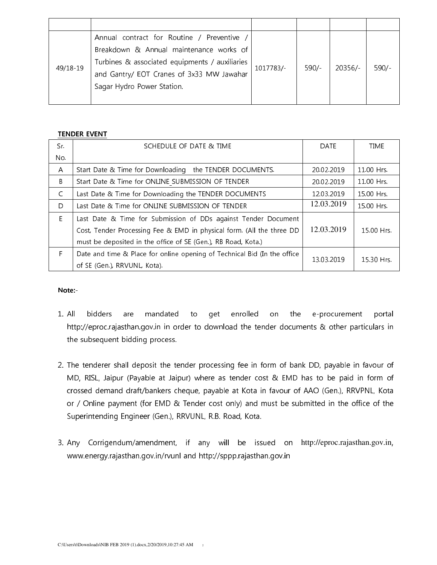| 49/18-19 | Annual contract for Routine / Preventive       | 1017783/- | $590/-$ | 20356/- | $590/-$ |
|----------|------------------------------------------------|-----------|---------|---------|---------|
|          | Breakdown & Annual maintenance works of        |           |         |         |         |
|          | Turbines & associated equipments / auxiliaries |           |         |         |         |
|          | and Gantry/ EOT Cranes of 3x33 MW Jawahar      |           |         |         |         |
|          | Sagar Hydro Power Station.                     |           |         |         |         |
|          |                                                |           |         |         |         |

#### **TENDER EVENT**

| Sr. | SCHEDULE OF DATE & TIME                                                  | <b>DATE</b> | time       |
|-----|--------------------------------------------------------------------------|-------------|------------|
| No. |                                                                          |             |            |
| A   | Start Date & Time for Downloading the TENDER DOCUMENTS.                  | 20.02.2019  | 11.00 Hrs. |
| B   | Start Date & Time for ONLINE SUBMISSION OF TENDER                        | 20.02.2019  | 11.00 Hrs. |
| C   | Last Date & Time for Downloading the TENDER DOCUMENTS                    | 12.03.2019  | 15.00 Hrs. |
| D.  | Last Date & Time for ONLINE SUBMISSION OF TENDER                         | 12.03.2019  | 15.00 Hrs. |
| E.  | Last Date & Time for Submission of DDs against Tender Document           |             |            |
|     | Cost, Tender Processing Fee & EMD in physical form. (All the three DD    | 12.03.2019  | 15.00 Hrs. |
|     | must be deposited in the office of SE (Gen.), RB Road, Kota.)            |             |            |
| F.  | Date and time & Place for online opening of Technical Bid (In the office | 13.03.2019  | 15.30 Hrs. |
|     | of SE (Gen.), RRVUNL, Kota).                                             |             |            |

#### Note:-

- $1.$  All bidders mandated are to get enrolled on the e-procurement portal http://eproc.rajasthan.gov.in in order to download the tender documents & other particulars in the subsequent bidding process.
- 2. The tenderer shall deposit the tender processing fee in form of bank DD, payable in favour of MD, RISL, Jaipur (Payable at Jaipur) where as tender cost & EMD has to be paid in form of crossed demand draft/bankers cheque, payable at Kota in favour of AAO (Gen.), RRVPNL, Kota or / Online payment (for EMD & Tender cost only) and must be submitted in the office of the Superintending Engineer (Gen.), RRVUNL, R.B. Road, Kota.
- 3. Any Corrigendum/amendment, if any will be issued on http://eproc.rajasthan.gov.in, www.energy.rajasthan.gov.in/rvunl and http://sppp.rajasthan.gov.in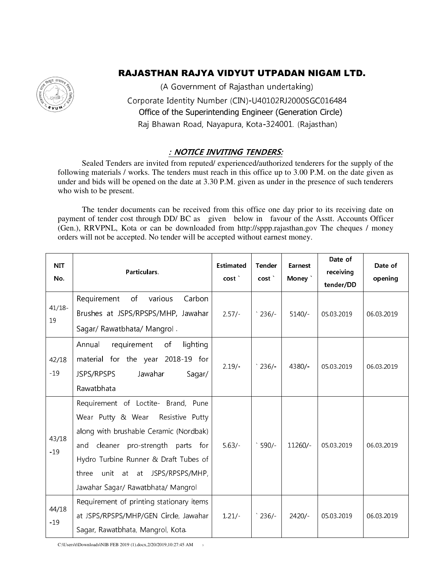# RAJASTHAN RAJYA VIDYUT UTPADAN NIGAM LTD.



(A Government of Rajasthan undertaking) گٚگر/ "Corporate Identity Number (CIN)-U40102RJ2000SGC016484 Office of the Superintending Engineer (Generation Circle) Raj Bhawan Road, Nayapura, Kota-324001. (Rajasthan)

## : NOTICE INVITING TENDERS:

 Sealed Tenders are invited from reputed/ experienced/authorized tenderers for the supply of the following materials / works. The tenders must reach in this office up to 3.00 P.M. on the date given as under and bids will be opened on the date at 3.30 P.M. given as under in the presence of such tenderers who wish to be present.

 The tender documents can be received from this office one day prior to its receiving date on payment of tender cost through DD/ BC as given below in favour of the Asstt. Accounts Officer (Gen.), RRVPNL, Kota or can be downloaded from http://sppp.rajasthan.gov The cheques / money orders will not be accepted. No tender will be accepted without earnest money.

| <b>NIT</b><br>No. | Particulars.                                                                                                                                                                                                                                                                                  | Estimated<br>cost | Tender<br>cost `         | Earnest<br>Money ` | Date of<br>receiving<br>tender/DD | Date of<br>opening |
|-------------------|-----------------------------------------------------------------------------------------------------------------------------------------------------------------------------------------------------------------------------------------------------------------------------------------------|-------------------|--------------------------|--------------------|-----------------------------------|--------------------|
| $41/18 -$<br>19   | Requirement<br>of<br>Carbon<br>various<br>Brushes at JSPS/RPSPS/MHP, Jawahar<br>Sagar/ Rawatbhata/ Mangrol.                                                                                                                                                                                   | $2.57/-$          | $\degree$ 236/ $\degree$ | $5140/-$           | 05.03.2019                        | 06.03.2019         |
| 42/18<br>$-19$    | requirement<br>lighting<br>Annual<br>of<br>material for the year 2018-19 for<br>JSPS/RPSPS<br>Jawahar<br>Sagar/<br>Rawatbhata                                                                                                                                                                 | $2.19/-$          | $\degree$ 236/-          | 4380/              | 05.03.2019                        | 06.03.2019         |
| 43/18<br>$-19$    | Requirement of Loctite- Brand, Pune<br>Wear Putty & Wear<br>Resistive Putty<br>along with brushable Ceramic (Nordbak)<br>pro-strength<br>and<br>cleaner<br>parts<br>for<br>Hydro Turbine Runner & Draft Tubes of<br>unit at at JSPS/RPSPS/MHP,<br>three<br>Jawahar Sagar/ Rawatbhata/ Mangrol | 5.63/             | $\degree$ 590/-          | 11260/-            | 05.03.2019                        | 06.03.2019         |
| 44/18<br>$-19$    | Requirement of printing stationary items<br>at JSPS/RPSPS/MHP/GEN Circle, Jawahar<br>Sagar, Rawatbhata, Mangrol, Kota.                                                                                                                                                                        | $1.21/-$          | $\degree$ 236/-          | $2420/-$           | 05.03.2019                        | 06.03.2019         |

C:\Users\t\Downloads\NIB FEB 2019 (1).docx,2/20/2019,10:27:45 AM<sup>3</sup>